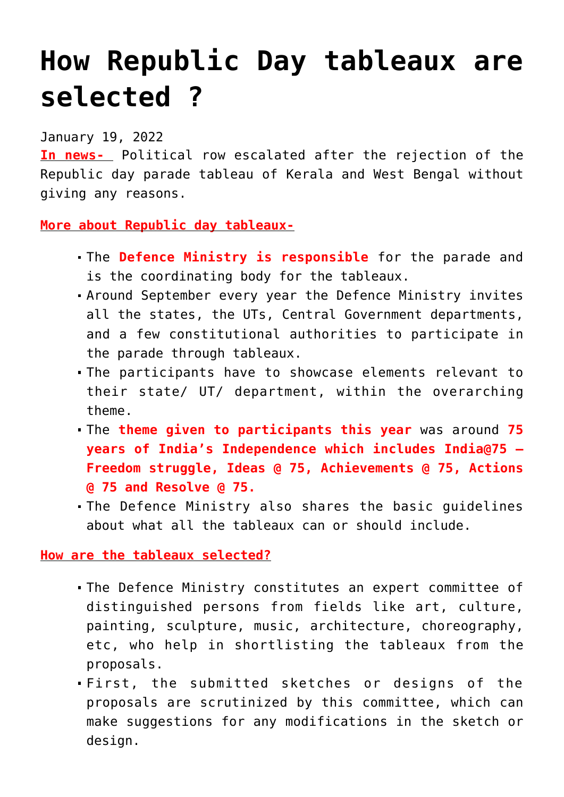## **[How Republic Day tableaux are](https://journalsofindia.com/how-republic-day-tableaux-are-selected/) [selected ?](https://journalsofindia.com/how-republic-day-tableaux-are-selected/)**

## January 19, 2022

**In news-** Political row escalated after the rejection of the Republic day parade tableau of Kerala and West Bengal without giving any reasons.

## **More about Republic day tableaux-**

- The **Defence Ministry is responsible** for the parade and is the coordinating body for the tableaux.
- Around September every year the Defence Ministry invites all the states, the UTs, Central Government departments, and a few constitutional authorities to participate in the parade through tableaux.
- The participants have to showcase elements relevant to their state/ UT/ department, within the overarching theme.
- The **theme given to participants this year** was around **75 years of India's Independence which includes India@75 – Freedom struggle, Ideas @ 75, Achievements @ 75, Actions @ 75 and Resolve @ 75.**
- The Defence Ministry also shares the basic guidelines about what all the tableaux can or should include.

**How are the tableaux selected?**

- The Defence Ministry constitutes an expert committee of distinguished persons from fields like art, culture, painting, sculpture, music, architecture, choreography, etc, who help in shortlisting the tableaux from the proposals.
- First, the submitted sketches or designs of the proposals are scrutinized by this committee, which can make suggestions for any modifications in the sketch or design.